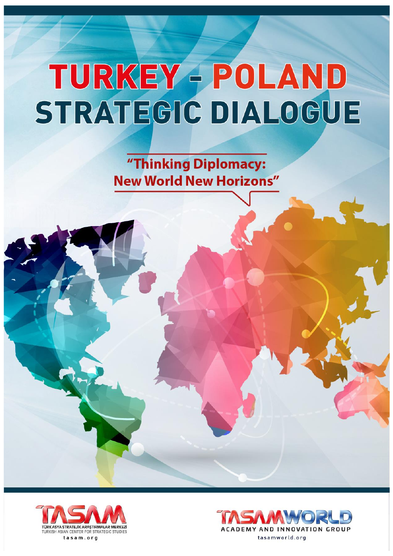"Thinking Diplomacy: **New World New Horizons"** 



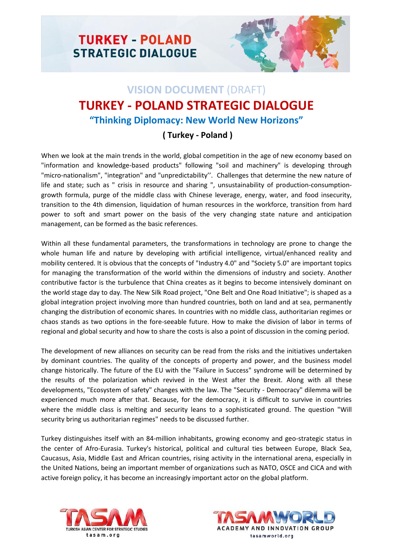



## **VISION DOCUMENT** (DRAFT) **TURKEY - POLAND STRATEGIC DIALOGUE "Thinking Diplomacy: New World New Horizons"**

## **( Turkey - Poland )**

When we look at the main trends in the world, global competition in the age of new economy based on "information and knowledge-based products" following "soil and machinery" is developing through "micro-nationalism", "integration" and "unpredictability''. Challenges that determine the new nature of life and state; such as " crisis in resource and sharing ", unsustainability of production-consumptiongrowth formula, purge of the middle class with Chinese leverage, energy, water, and food insecurity, transition to the 4th dimension, liquidation of human resources in the workforce, transition from hard power to soft and smart power on the basis of the very changing state nature and anticipation management, can be formed as the basic references.

Within all these fundamental parameters, the transformations in technology are prone to change the whole human life and nature by developing with artificial intelligence, virtual/enhanced reality and mobility centered. It is obvious that the concepts of "Industry 4.0" and "Society 5.0" are important topics for managing the transformation of the world within the dimensions of industry and society. Another contributive factor is the turbulence that China creates as it begins to become intensively dominant on the world stage day to day. The New Silk Road project, "One Belt and One Road Initiative"; is shaped as a global integration project involving more than hundred countries, both on land and at sea, permanently changing the distribution of economic shares. In countries with no middle class, authoritarian regimes or chaos stands as two options in the fore-seeable future. How to make the division of labor in terms of regional and global security and how to share the costs is also a point of discussion in the coming period.

The development of new alliances on security can be read from the risks and the initiatives undertaken by dominant countries. The quality of the concepts of property and power, and the business model change historically. The future of the EU with the "Failure in Success" syndrome will be determined by the results of the polarization which revived in the West after the Brexit. Along with all these developments, "Ecosystem of safety" changes with the law. The "Security - Democracy" dilemma will be experienced much more after that. Because, for the democracy, it is difficult to survive in countries where the middle class is melting and security leans to a sophisticated ground. The question "Will security bring us authoritarian regimes" needs to be discussed further.

Turkey distinguishes itself with an 84-million inhabitants, growing economy and geo-strategic status in the center of Afro-Eurasia. Turkey's historical, political and cultural ties between Europe, Black Sea, Caucasus, Asia, Middle East and African countries, rising activity in the international arena, especially in the United Nations, being an important member of organizations such as NATO, OSCE and CICA and with active foreign policy, it has become an increasingly important actor on the global platform.



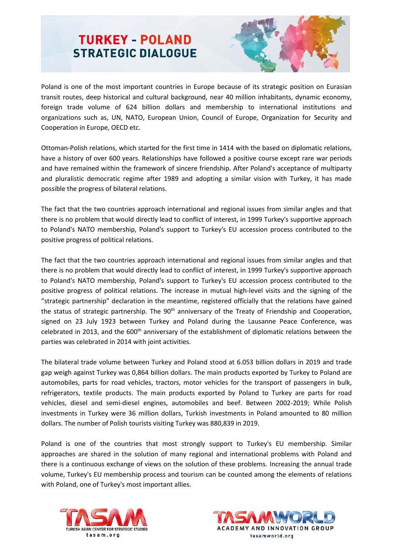

Poland is one of the most important countries in Europe because of its strategic position on Eurasian transit routes, deep historical and cultural background, near 40 million inhabitants, dynamic economy, foreign trade volume of 624 billion dollars and membership to international institutions and organizations such as, UN, NATO, European Union, Council of Europe, Organization for Security and Cooperation in Europe, OECD etc.

Ottoman-Polish relations, which started for the first time in 1414 with the based on diplomatic relations, have a history of over 600 years. Relationships have followed a positive course except rare war periods and have remained within the framework of sincere friendship. After Poland's acceptance of multiparty and pluralistic democratic regime after 1989 and adopting a similar vision with Turkey, it has made possible the progress of bilateral relations.

The fact that the two countries approach international and regional issues from similar angles and that there is no problem that would directly lead to conflict of interest, in 1999 Turkey's supportive approach to Poland's NATO membership, Poland's support to Turkey's EU accession process contributed to the positive progress of political relations.

The fact that the two countries approach international and regional issues from similar angles and that there is no problem that would directly lead to conflict of interest, in 1999 Turkey's supportive approach to Poland's NATO membership, Poland's support to Turkey's EU accession process contributed to the positive progress of political relations. The increase in mutual high-level visits and the signing of the "strategic partnership" declaration in the meantime, registered officially that the relations have gained the status of strategic partnership. The 90<sup>th</sup> anniversary of the Treaty of Friendship and Cooperation, signed on 23 July 1923 between Turkey and Poland during the Lausanne Peace Conference, was celebrated in 2013, and the 600<sup>th</sup> anniversary of the establishment of diplomatic relations between the parties was celebrated in 2014 with joint activities.

The bilateral trade volume between Turkey and Poland stood at 6.053 billion dollars in 2019 and trade gap weigh against Turkey was 0,864 billion dollars. The main products exported by Turkey to Poland are automobiles, parts for road vehicles, tractors, motor vehicles for the transport of passengers in bulk, refrigerators, textile products. The main products exported by Poland to Turkey are parts for road vehicles, diesel and semi-diesel engines, automobiles and beef. Between 2002-2019; While Polish investments in Turkey were 36 million dollars, Turkish investments in Poland amounted to 80 million dollars. The number of Polish tourists visiting Turkey was 880,839 in 2019.

Poland is one of the countries that most strongly support to Turkey's EU membership. Similar approaches are shared in the solution of many regional and international problems with Poland and there is a continuous exchange of views on the solution of these problems. Increasing the annual trade volume, Turkey's EU membership process and tourism can be counted among the elements of relations with Poland, one of Turkey's most important allies.



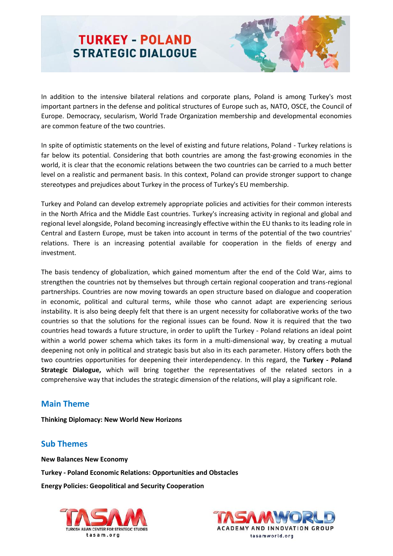

In addition to the intensive bilateral relations and corporate plans, Poland is among Turkey's most important partners in the defense and political structures of Europe such as, NATO, OSCE, the Council of Europe. Democracy, secularism, World Trade Organization membership and developmental economies are common feature of the two countries.

In spite of optimistic statements on the level of existing and future relations, Poland - Turkey relations is far below its potential. Considering that both countries are among the fast-growing economies in the world, it is clear that the economic relations between the two countries can be carried to a much better level on a realistic and permanent basis. In this context, Poland can provide stronger support to change stereotypes and prejudices about Turkey in the process of Turkey's EU membership.

Turkey and Poland can develop extremely appropriate policies and activities for their common interests in the North Africa and the Middle East countries. Turkey's increasing activity in regional and global and regional level alongside, Poland becoming increasingly effective within the EU thanks to its leading role in Central and Eastern Europe, must be taken into account in terms of the potential of the two countries' relations. There is an increasing potential available for cooperation in the fields of energy and investment.

The basis tendency of globalization, which gained momentum after the end of the Cold War, aims to strengthen the countries not by themselves but through certain regional cooperation and trans-regional partnerships. Countries are now moving towards an open structure based on dialogue and cooperation in economic, political and cultural terms, while those who cannot adapt are experiencing serious instability. It is also being deeply felt that there is an urgent necessity for collaborative works of the two countries so that the solutions for the regional issues can be found. Now it is required that the two countries head towards a future structure, in order to uplift the Turkey - Poland relations an ideal point within a world power schema which takes its form in a multi-dimensional way, by creating a mutual deepening not only in political and strategic basis but also in its each parameter. History offers both the two countries opportunities for deepening their interdependency. In this regard, the **Turkey - Poland Strategic Dialogue,** which will bring together the representatives of the related sectors in a comprehensive way that includes the strategic dimension of the relations, will play a significant role.

### **Main Theme**

**Thinking Diplomacy: New World New Horizons**

### **Sub Themes**

**New Balances New Economy Turkey - Poland Economic Relations: Opportunities and Obstacles Energy Policies: Geopolitical and Security Cooperation**



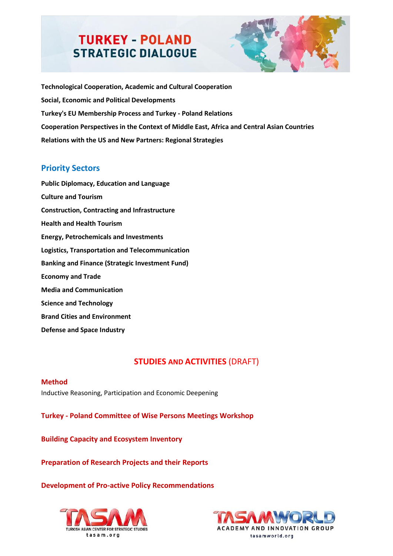

**Technological Cooperation, Academic and Cultural Cooperation Social, Economic and Political Developments Turkey's EU Membership Process and Turkey - Poland Relations Cooperation Perspectives in the Context of Middle East, Africa and Central Asian Countries Relations with the US and New Partners: Regional Strategies**

## **Priority Sectors**

**Public Diplomacy, Education and Language Culture and Tourism Construction, Contracting and Infrastructure Health and Health Tourism Energy, Petrochemicals and Investments Logistics, Transportation and Telecommunication Banking and Finance (Strategic Investment Fund) Economy and Trade Media and Communication Science and Technology Brand Cities and Environment Defense and Space Industry**

## **STUDIES AND ACTIVITIES (DRAFT)**

#### **Method**

Inductive Reasoning, Participation and Economic Deepening

**Turkey - Poland Committee of Wise Persons Meetings Workshop**

**Building Capacity and Ecosystem Inventory**

**Preparation of Research Projects and their Reports**

#### **Development of Pro-active Policy Recommendations**